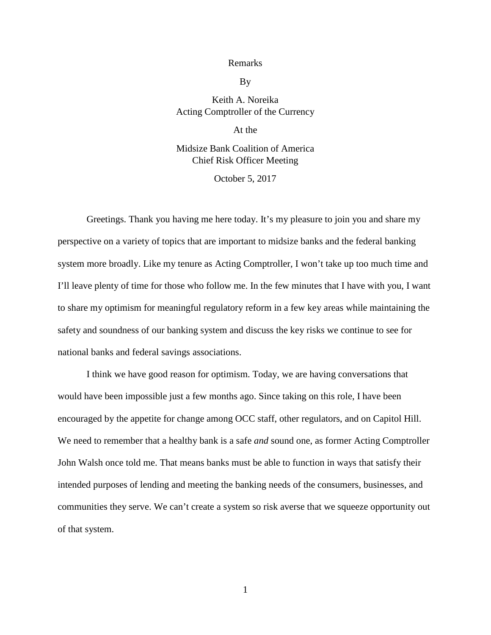## Remarks

By

## Keith A. Noreika Acting Comptroller of the Currency

At the

## Midsize Bank Coalition of America Chief Risk Officer Meeting

October 5, 2017

Greetings. Thank you having me here today. It's my pleasure to join you and share my perspective on a variety of topics that are important to midsize banks and the federal banking system more broadly. Like my tenure as Acting Comptroller, I won't take up too much time and I'll leave plenty of time for those who follow me. In the few minutes that I have with you, I want to share my optimism for meaningful regulatory reform in a few key areas while maintaining the safety and soundness of our banking system and discuss the key risks we continue to see for national banks and federal savings associations.

I think we have good reason for optimism. Today, we are having conversations that would have been impossible just a few months ago. Since taking on this role, I have been encouraged by the appetite for change among OCC staff, other regulators, and on Capitol Hill. We need to remember that a healthy bank is a safe *and* sound one, as former Acting Comptroller John Walsh once told me. That means banks must be able to function in ways that satisfy their intended purposes of lending and meeting the banking needs of the consumers, businesses, and communities they serve. We can't create a system so risk averse that we squeeze opportunity out of that system.

1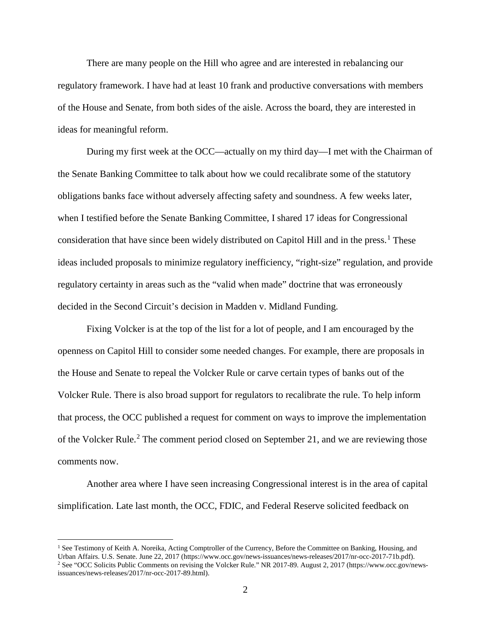There are many people on the Hill who agree and are interested in rebalancing our regulatory framework. I have had at least 10 frank and productive conversations with members of the House and Senate, from both sides of the aisle. Across the board, they are interested in ideas for meaningful reform.

During my first week at the OCC—actually on my third day—I met with the Chairman of the Senate Banking Committee to talk about how we could recalibrate some of the statutory obligations banks face without adversely affecting safety and soundness. A few weeks later, when I testified before the Senate Banking Committee, I shared 17 ideas for Congressional consideration that have since been widely distributed on Capitol Hill and in the press.<sup>[1](#page-1-0)</sup> These ideas included proposals to minimize regulatory inefficiency, "right-size" regulation, and provide regulatory certainty in areas such as the "valid when made" doctrine that was erroneously decided in the Second Circuit's decision in Madden v. Midland Funding.

Fixing Volcker is at the top of the list for a lot of people, and I am encouraged by the openness on Capitol Hill to consider some needed changes. For example, there are proposals in the House and Senate to repeal the Volcker Rule or carve certain types of banks out of the Volcker Rule. There is also broad support for regulators to recalibrate the rule. To help inform that process, the OCC published a request for comment on ways to improve the implementation of the Volcker Rule.<sup>[2](#page-1-1)</sup> The comment period closed on September 21, and we are reviewing those comments now.

Another area where I have seen increasing Congressional interest is in the area of capital simplification. Late last month, the OCC, FDIC, and Federal Reserve solicited feedback on

l

<span id="page-1-1"></span><span id="page-1-0"></span><sup>&</sup>lt;sup>1</sup> See Testimony of Keith A. Noreika, Acting Comptroller of the Currency, Before the Committee on Banking, Housing, and Urban Affairs. U.S. Senate. June 22, 2017 (https://www.occ.gov/news-issuances/news-releases/2017/nr-occ-2017-71b.pdf). <sup>2</sup> See "OCC Solicits Public Comments on revising the Volcker Rule." NR 2017-89. August 2, 2017 (https://www.occ.gov/newsissuances/news-releases/2017/nr-occ-2017-89.html).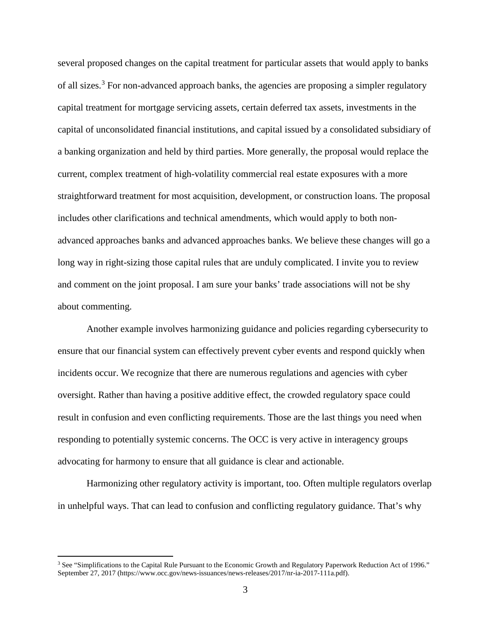several proposed changes on the capital treatment for particular assets that would apply to banks of all sizes.<sup>[3](#page-2-0)</sup> For non-advanced approach banks, the agencies are proposing a simpler regulatory capital treatment for mortgage servicing assets, certain deferred tax assets, investments in the capital of unconsolidated financial institutions, and capital issued by a consolidated subsidiary of a banking organization and held by third parties. More generally, the proposal would replace the current, complex treatment of high-volatility commercial real estate exposures with a more straightforward treatment for most acquisition, development, or construction loans. The proposal includes other clarifications and technical amendments, which would apply to both nonadvanced approaches banks and advanced approaches banks. We believe these changes will go a long way in right-sizing those capital rules that are unduly complicated. I invite you to review and comment on the joint proposal. I am sure your banks' trade associations will not be shy about commenting.

Another example involves harmonizing guidance and policies regarding cybersecurity to ensure that our financial system can effectively prevent cyber events and respond quickly when incidents occur. We recognize that there are numerous regulations and agencies with cyber oversight. Rather than having a positive additive effect, the crowded regulatory space could result in confusion and even conflicting requirements. Those are the last things you need when responding to potentially systemic concerns. The OCC is very active in interagency groups advocating for harmony to ensure that all guidance is clear and actionable.

Harmonizing other regulatory activity is important, too. Often multiple regulators overlap in unhelpful ways. That can lead to confusion and conflicting regulatory guidance. That's why

 $\overline{\phantom{a}}$ 

<span id="page-2-0"></span><sup>&</sup>lt;sup>3</sup> See "Simplifications to the Capital Rule Pursuant to the Economic Growth and Regulatory Paperwork Reduction Act of 1996." September 27, 2017 (https://www.occ.gov/news-issuances/news-releases/2017/nr-ia-2017-111a.pdf).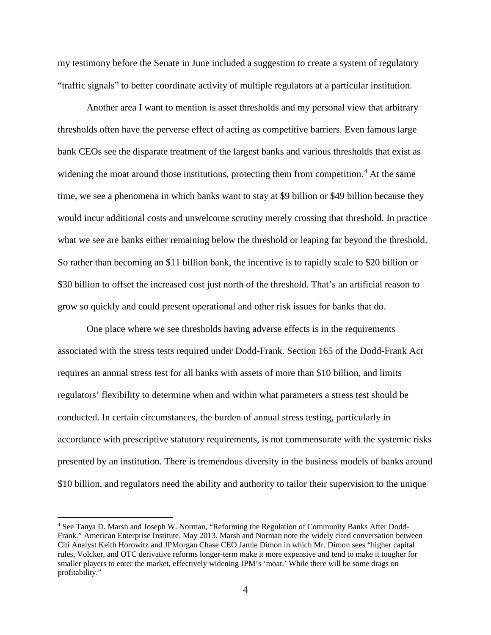my testimony before the Senate in June included a suggestion to create a system of regulatory "traffic signals" to better coordinate activity of multiple regulators at a particular institution.

Another area I want to mention is asset thresholds and my personal view that arbitrary thresholds often have the perverse effect of acting as competitive barriers. Even famous large bank CEOs see the disparate treatment of the largest banks and various thresholds that exist as widening the moat around those institutions, protecting them from competition.<sup>[4](#page-3-0)</sup> At the same time, we see a phenomena in which banks want to stay at \$9 billion or \$49 billion because they would incur additional costs and unwelcome scrutiny merely crossing that threshold. In practice what we see are banks either remaining below the threshold or leaping far beyond the threshold. So rather than becoming an \$11 billion bank, the incentive is to rapidly scale to \$20 billion or \$30 billion to offset the increased cost just north of the threshold. That's an artificial reason to grow so quickly and could present operational and other risk issues for banks that do.

One place where we see thresholds having adverse effects is in the requirements associated with the stress tests required under Dodd-Frank. Section 165 of the Dodd-Frank Act requires an annual stress test for all banks with assets of more than \$10 billion, and limits regulators' flexibility to determine when and within what parameters a stress test should be conducted. In certain circumstances, the burden of annual stress testing, particularly in accordance with prescriptive statutory requirements, is not commensurate with the systemic risks presented by an institution. There is tremendous diversity in the business models of banks around \$10 billion, and regulators need the ability and authority to tailor their supervision to the unique

 $\overline{\phantom{a}}$ 

<span id="page-3-0"></span><sup>4</sup> See Tanya D. Marsh and Joseph W. Norman, "Reforming the Regulation of Community Banks After Dodd-Frank." American Enterprise Institute. May 2013. Marsh and Norman note the widely cited conversation between Citi Analyst Keith Horowitz and JPMorgan Chase CEO Jamie Dimon in which Mr. Dimon sees "higher capital rules, Volcker, and OTC derivative reforms longer-term make it more expensive and tend to make it tougher for smaller players to enter the market, effectively widening JPM's 'moat.' While there will be some drags on profitability."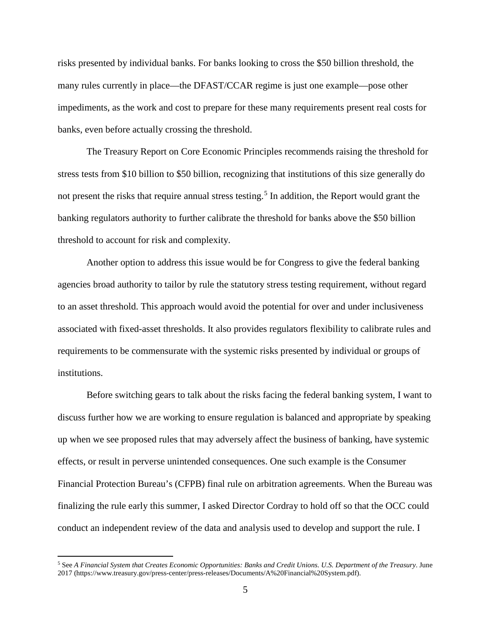risks presented by individual banks. For banks looking to cross the \$50 billion threshold, the many rules currently in place—the DFAST/CCAR regime is just one example—pose other impediments, as the work and cost to prepare for these many requirements present real costs for banks, even before actually crossing the threshold.

The Treasury Report on Core Economic Principles recommends raising the threshold for stress tests from \$10 billion to \$50 billion, recognizing that institutions of this size generally do not present the risks that require annual stress testing.<sup>[5](#page-4-0)</sup> In addition, the Report would grant the banking regulators authority to further calibrate the threshold for banks above the \$50 billion threshold to account for risk and complexity.

Another option to address this issue would be for Congress to give the federal banking agencies broad authority to tailor by rule the statutory stress testing requirement, without regard to an asset threshold. This approach would avoid the potential for over and under inclusiveness associated with fixed-asset thresholds. It also provides regulators flexibility to calibrate rules and requirements to be commensurate with the systemic risks presented by individual or groups of institutions.

Before switching gears to talk about the risks facing the federal banking system, I want to discuss further how we are working to ensure regulation is balanced and appropriate by speaking up when we see proposed rules that may adversely affect the business of banking, have systemic effects, or result in perverse unintended consequences. One such example is the Consumer Financial Protection Bureau's (CFPB) final rule on arbitration agreements. When the Bureau was finalizing the rule early this summer, I asked Director Cordray to hold off so that the OCC could conduct an independent review of the data and analysis used to develop and support the rule. I

<span id="page-4-0"></span><sup>5</sup> See *A Financial System that Creates Economic Opportunities: Banks and Credit Unions. U.S. Department of the Treasury*. June 2017 (https://www.treasury.gov/press-center/press-releases/Documents/A%20Financial%20System.pdf).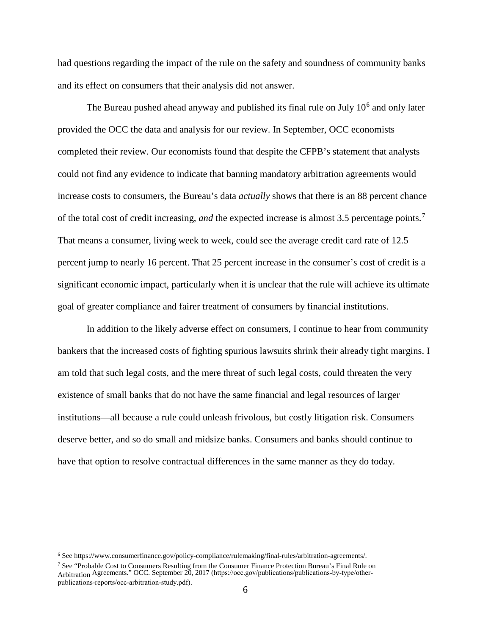had questions regarding the impact of the rule on the safety and soundness of community banks and its effect on consumers that their analysis did not answer.

The Bureau pushed ahead anyway and published its final rule on July  $10<sup>6</sup>$  $10<sup>6</sup>$  $10<sup>6</sup>$  and only later provided the OCC the data and analysis for our review. In September, OCC economists completed their review. Our economists found that despite the CFPB's statement that analysts could not find any evidence to indicate that banning mandatory arbitration agreements would increase costs to consumers, the Bureau's data *actually* shows that there is an 88 percent chance of the total cost of credit increasing, *and* the expected increase is almost 3.5 percentage points.[7](#page-5-1) That means a consumer, living week to week, could see the average credit card rate of 12.5 percent jump to nearly 16 percent. That 25 percent increase in the consumer's cost of credit is a significant economic impact, particularly when it is unclear that the rule will achieve its ultimate goal of greater compliance and fairer treatment of consumers by financial institutions.

In addition to the likely adverse effect on consumers, I continue to hear from community bankers that the increased costs of fighting spurious lawsuits shrink their already tight margins. I am told that such legal costs, and the mere threat of such legal costs, could threaten the very existence of small banks that do not have the same financial and legal resources of larger institutions—all because a rule could unleash frivolous, but costly litigation risk. Consumers deserve better, and so do small and midsize banks. Consumers and banks should continue to have that option to resolve contractual differences in the same manner as they do today.

<span id="page-5-0"></span><sup>6</sup> See https://www.consumerfinance.gov/policy-compliance/rulemaking/final-rules/arbitration-agreements/.

<span id="page-5-1"></span><sup>&</sup>lt;sup>7</sup> See "Probable Cost to Consumers Resulting from the Consumer Finance Protection Bureau's Final Rule on Arbitration Agreements." OCC. September 20, 2017 (https://occ.gov/publications/publications-by-type/otherpublications-reports/occ-arbitration-study.pdf).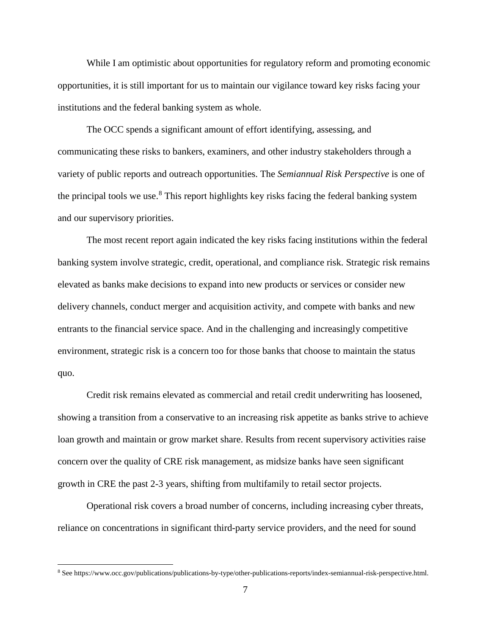While I am optimistic about opportunities for regulatory reform and promoting economic opportunities, it is still important for us to maintain our vigilance toward key risks facing your institutions and the federal banking system as whole.

The OCC spends a significant amount of effort identifying, assessing, and communicating these risks to bankers, examiners, and other industry stakeholders through a variety of public reports and outreach opportunities. The *Semiannual Risk Perspective* is one of the principal tools we use.<sup>[8](#page-6-0)</sup> This report highlights key risks facing the federal banking system and our supervisory priorities.

The most recent report again indicated the key risks facing institutions within the federal banking system involve strategic, credit, operational, and compliance risk. Strategic risk remains elevated as banks make decisions to expand into new products or services or consider new delivery channels, conduct merger and acquisition activity, and compete with banks and new entrants to the financial service space. And in the challenging and increasingly competitive environment, strategic risk is a concern too for those banks that choose to maintain the status quo.

Credit risk remains elevated as commercial and retail credit underwriting has loosened, showing a transition from a conservative to an increasing risk appetite as banks strive to achieve loan growth and maintain or grow market share. Results from recent supervisory activities raise concern over the quality of CRE risk management, as midsize banks have seen significant growth in CRE the past 2-3 years, shifting from multifamily to retail sector projects.

Operational risk covers a broad number of concerns, including increasing cyber threats, reliance on concentrations in significant third-party service providers, and the need for sound

l

<span id="page-6-0"></span><sup>8</sup> See https://www.occ.gov/publications/publications-by-type/other-publications-reports/index-semiannual-risk-perspective.html.